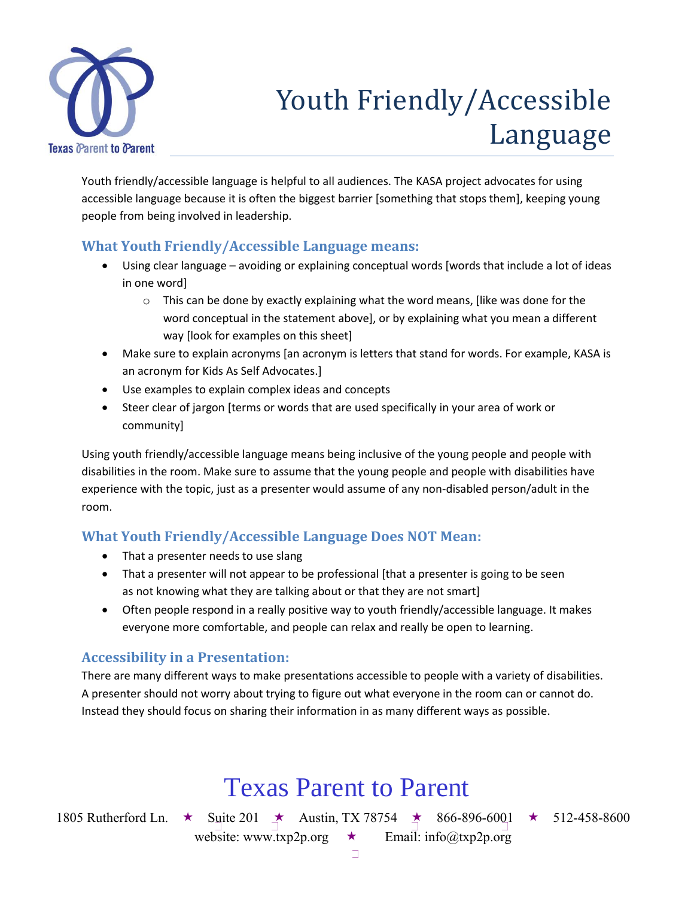

# Youth Friendly/Accessible Language

Youth friendly/accessible language is helpful to all audiences. The KASA project advocates for using accessible language because it is often the biggest barrier [something that stops them], keeping young people from being involved in leadership.

## **What Youth Friendly/Accessible Language means:**

- Using clear language avoiding or explaining conceptual words [words that include a lot of ideas in one word]
	- $\circ$  This can be done by exactly explaining what the word means, [like was done for the word conceptual in the statement above], or by explaining what you mean a different way [look for examples on this sheet]
- Make sure to explain acronyms [an acronym is letters that stand for words. For example, KASA is an acronym for Kids As Self Advocates.]
- Use examples to explain complex ideas and concepts
- Steer clear of jargon [terms or words that are used specifically in your area of work or community]

Using youth friendly/accessible language means being inclusive of the young people and people with disabilities in the room. Make sure to assume that the young people and people with disabilities have experience with the topic, just as a presenter would assume of any non-disabled person/adult in the room.

## **What Youth Friendly/Accessible Language Does NOT Mean:**

- That a presenter needs to use slang
- That a presenter will not appear to be professional [that a presenter is going to be seen as not knowing what they are talking about or that they are not smart]
- Often people respond in a really positive way to youth friendly/accessible language. It makes everyone more comfortable, and people can relax and really be open to learning.

## **Accessibility in a Presentation:**

There are many different ways to make presentations accessible to people with a variety of disabilities. A presenter should not worry about trying to figure out what everyone in the room can or cannot do. Instead they should focus on sharing their information in as many different ways as possible.

# Texas Parent to Parent

1805 Rutherford Ln. ★ Suite 201 ★ Austin, TX 78754 ★ 866-896-6001 ★ 512-458-8600 website: www.txp2p.org  $\star$  Email: info@txp2p.org